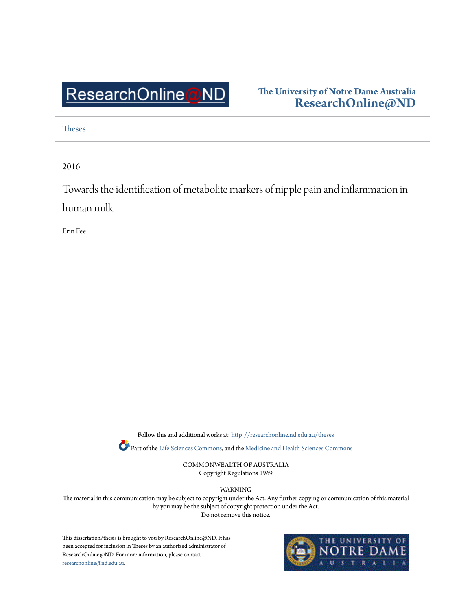## ResearchOnline@ND

## **The University of Notre Dame Australia [ResearchOnline@ND](http://researchonline.nd.edu.au?utm_source=researchonline.nd.edu.au%2Ftheses%2F123&utm_medium=PDF&utm_campaign=PDFCoverPages)**

[Theses](http://researchonline.nd.edu.au/theses?utm_source=researchonline.nd.edu.au%2Ftheses%2F123&utm_medium=PDF&utm_campaign=PDFCoverPages)

2016

Towards the identification of metabolite markers of nipple pain and inflammation in human milk

Erin Fee

Follow this and additional works at: [http://researchonline.nd.edu.au/theses](http://researchonline.nd.edu.au/theses?utm_source=researchonline.nd.edu.au%2Ftheses%2F123&utm_medium=PDF&utm_campaign=PDFCoverPages)

Part of the [Life Sciences Commons,](http://network.bepress.com/hgg/discipline/1016?utm_source=researchonline.nd.edu.au%2Ftheses%2F123&utm_medium=PDF&utm_campaign=PDFCoverPages) and the [Medicine and Health Sciences Commons](http://network.bepress.com/hgg/discipline/648?utm_source=researchonline.nd.edu.au%2Ftheses%2F123&utm_medium=PDF&utm_campaign=PDFCoverPages)

COMMONWEALTH OF AUSTRALIA Copyright Regulations 1969

WARNING

The material in this communication may be subject to copyright under the Act. Any further copying or communication of this material by you may be the subject of copyright protection under the Act. Do not remove this notice.

This dissertation/thesis is brought to you by ResearchOnline@ND. It has been accepted for inclusion in Theses by an authorized administrator of ResearchOnline@ND. For more information, please contact [researchonline@nd.edu.au.](mailto:researchonline@nd.edu.au)

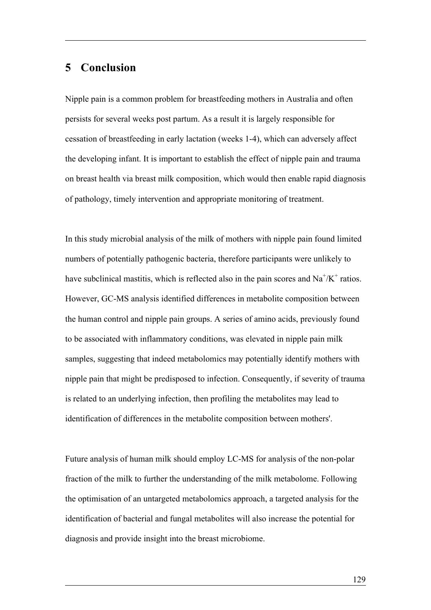## **5 Conclusion**

Nipple pain is a common problem for breastfeeding mothers in Australia and often persists for several weeks post partum. As a result it is largely responsible for cessation of breastfeeding in early lactation (weeks 1-4), which can adversely affect the developing infant. It is important to establish the effect of nipple pain and trauma on breast health via breast milk composition, which would then enable rapid diagnosis of pathology, timely intervention and appropriate monitoring of treatment.

In this study microbial analysis of the milk of mothers with nipple pain found limited numbers of potentially pathogenic bacteria, therefore participants were unlikely to have subclinical mastitis, which is reflected also in the pain scores and  $\text{Na}^+\text{/K}^+$  ratios. However, GC-MS analysis identified differences in metabolite composition between the human control and nipple pain groups. A series of amino acids, previously found to be associated with inflammatory conditions, was elevated in nipple pain milk samples, suggesting that indeed metabolomics may potentially identify mothers with nipple pain that might be predisposed to infection. Consequently, if severity of trauma is related to an underlying infection, then profiling the metabolites may lead to identification of differences in the metabolite composition between mothers'.

Future analysis of human milk should employ LC-MS for analysis of the non-polar fraction of the milk to further the understanding of the milk metabolome. Following the optimisation of an untargeted metabolomics approach, a targeted analysis for the identification of bacterial and fungal metabolites will also increase the potential for diagnosis and provide insight into the breast microbiome.